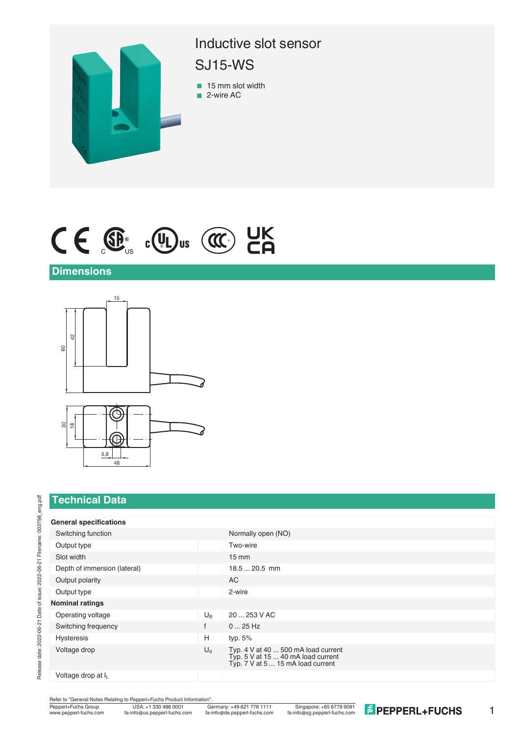

# $C \in \mathbb{G}_{\text{us}}$  c(U) us (CC) CR

#### **Dimensions**



### **Technical Data**

#### **General specifications**

| Switching function           |              | Normally open (NO)                                                                                             |
|------------------------------|--------------|----------------------------------------------------------------------------------------------------------------|
| Output type                  |              | Two-wire                                                                                                       |
| Slot width                   |              | $15 \text{ mm}$                                                                                                |
| Depth of immersion (lateral) |              | $18.520.5$ mm                                                                                                  |
| Output polarity              |              | AC                                                                                                             |
| Output type                  |              | 2-wire                                                                                                         |
| <b>Nominal ratings</b>       |              |                                                                                                                |
| Operating voltage            | $U_{B}$      | 20  253 V AC                                                                                                   |
| Switching frequency          | $\mathbf{f}$ | $025$ Hz                                                                                                       |
| <b>Hysteresis</b>            | Н            | typ. 5%                                                                                                        |
| Voltage drop                 | $U_d$        | Typ. 4 V at 40  500 mA load current<br>Typ. 5 V at 15  40 mA load current<br>Typ. 7 V at 5  15 mA load current |
| Voltogo dron at L            |              |                                                                                                                |

Voltage drop at I<sup>L</sup>

Refer to "General Notes Relating to Pepperl+Fuchs Product Information".<br>
Pepperl+Fuchs Group<br>
Www.pepperl-fuchs.com fa-info@us.pepperl-fuchs.com fa-